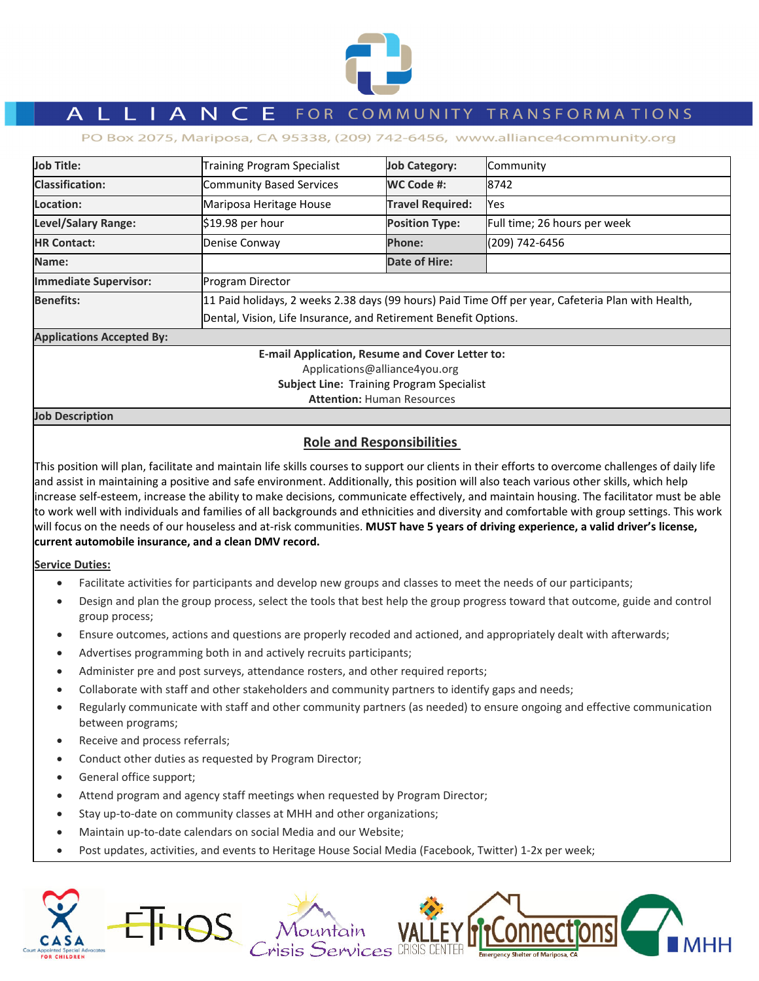

# A L L I A N C E FOR COMMUNITY TRANSFORMATIONS

PO Box 2075, Mariposa, CA 95338, (209) 742-6456, www.alliance4community.org

| Job Title:                                        | <b>Training Program Specialist</b>                                                                                                                                    | <b>Job Category:</b>    | Community                    |  |  |
|---------------------------------------------------|-----------------------------------------------------------------------------------------------------------------------------------------------------------------------|-------------------------|------------------------------|--|--|
| <b>Classification:</b>                            | Community Based Services                                                                                                                                              | WC Code #:              | 8742                         |  |  |
| Location:                                         | Mariposa Heritage House                                                                                                                                               | <b>Travel Required:</b> | Yes                          |  |  |
| <b>Level/Salary Range:</b>                        | $$19.98$ per hour                                                                                                                                                     | <b>Position Type:</b>   | Full time; 26 hours per week |  |  |
| <b>HR Contact:</b>                                | Denise Conway                                                                                                                                                         | <b>Phone:</b>           | (209) 742-6456               |  |  |
| Name:                                             |                                                                                                                                                                       | Date of Hire:           |                              |  |  |
| <b>Immediate Supervisor:</b>                      | <b>Program Director</b>                                                                                                                                               |                         |                              |  |  |
| <b>Benefits:</b>                                  | 11 Paid holidays, 2 weeks 2.38 days (99 hours) Paid Time Off per year, Cafeteria Plan with Health,<br>Dental, Vision, Life Insurance, and Retirement Benefit Options. |                         |                              |  |  |
| <b>Applications Accepted By:</b>                  |                                                                                                                                                                       |                         |                              |  |  |
| E acett Aussitzation. Because and Accentrationist |                                                                                                                                                                       |                         |                              |  |  |

**E‐mail Application, Resume and Cover Letter to:** Applications@alliance4you.org **Subject Line:** Training Program Specialist **Attention:** Human Resources

**Job Description**

# **Role and Responsibilities**

This position will plan, facilitate and maintain life skills courses to support our clients in their efforts to overcome challenges of daily life and assist in maintaining a positive and safe environment. Additionally, this position will also teach various other skills, which help increase self‐esteem, increase the ability to make decisions, communicate effectively, and maintain housing. The facilitator must be able to work well with individuals and families of all backgrounds and ethnicities and diversity and comfortable with group settings. This work will focus on the needs of our houseless and at‐risk communities. **MUST have 5 years of driving experience, a valid driver's license, current automobile insurance, and a clean DMV record.**

# **Service Duties:**

- Facilitate activities for participants and develop new groups and classes to meet the needs of our participants;
- Design and plan the group process, select the tools that best help the group progress toward that outcome, guide and control group process;
- Ensure outcomes, actions and questions are properly recoded and actioned, and appropriately dealt with afterwards;
- Advertises programming both in and actively recruits participants;
- Administer pre and post surveys, attendance rosters, and other required reports;
- Collaborate with staff and other stakeholders and community partners to identify gaps and needs;
- Regularly communicate with staff and other community partners (as needed) to ensure ongoing and effective communication between programs;
- Receive and process referrals;
- Conduct other duties as requested by Program Director;
- General office support;
- Attend program and agency staff meetings when requested by Program Director;
- Stay up-to-date on community classes at MHH and other organizations;
- Maintain up‐to‐date calendars on social Media and our Website;
- Post updates, activities, and events to Heritage House Social Media (Facebook, Twitter) 1‐2x per week;

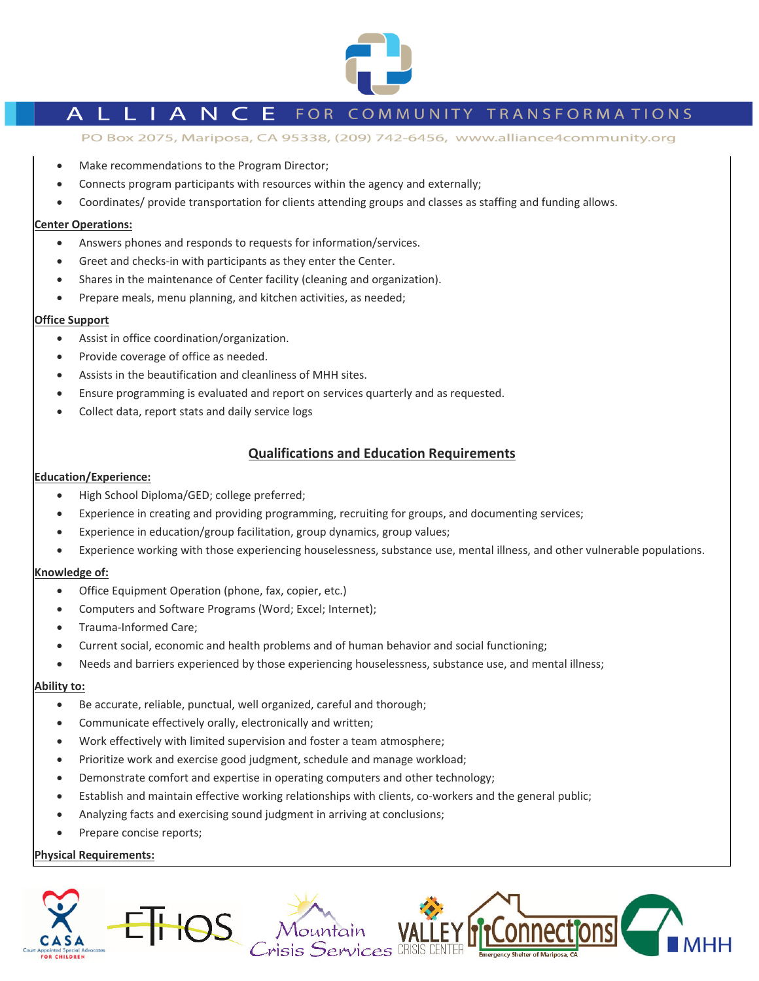

# L I A N C E FOR COMMUNITY TRANSFORMATIONS

PO Box 2075, Mariposa, CA 95338, (209) 742-6456, www.alliance4community.org

- Make recommendations to the Program Director;
- Connects program participants with resources within the agency and externally;
- Coordinates/ provide transportation for clients attending groups and classes as staffing and funding allows.

#### **Center Operations:**

- Answers phones and responds to requests for information/services.
- Greet and checks-in with participants as they enter the Center.
- Shares in the maintenance of Center facility (cleaning and organization).
- Prepare meals, menu planning, and kitchen activities, as needed;

### **Office Support**

- Assist in office coordination/organization.
- Provide coverage of office as needed.
- Assists in the beautification and cleanliness of MHH sites.
- Ensure programming is evaluated and report on services quarterly and as requested.
- Collect data, report stats and daily service logs

### **Qualifications and Education Requirements**

#### **Education/Experience:**

- High School Diploma/GED; college preferred;
- Experience in creating and providing programming, recruiting for groups, and documenting services;
- Experience in education/group facilitation, group dynamics, group values;
- Experience working with those experiencing houselessness, substance use, mental illness, and other vulnerable populations.

#### **Knowledge of:**

- Office Equipment Operation (phone, fax, copier, etc.)
- Computers and Software Programs (Word; Excel; Internet);
- Trauma‐Informed Care;
- Current social, economic and health problems and of human behavior and social functioning;
- Needs and barriers experienced by those experiencing houselessness, substance use, and mental illness;

### **Ability to:**

- Be accurate, reliable, punctual, well organized, careful and thorough;
- Communicate effectively orally, electronically and written;
- Work effectively with limited supervision and foster a team atmosphere;
- Prioritize work and exercise good judgment, schedule and manage workload;
- Demonstrate comfort and expertise in operating computers and other technology;
- Establish and maintain effective working relationships with clients, co-workers and the general public;
- Analyzing facts and exercising sound judgment in arriving at conclusions;
- Prepare concise reports;

### **Physical Requirements:**